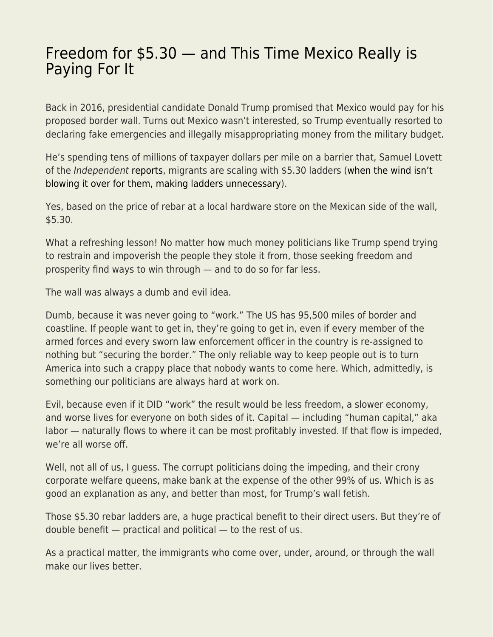## [Freedom for \\$5.30 — and This Time Mexico Really is](https://everything-voluntary.com/freedom-for-5-30-and-this-time-mexico-really-is-paying-for-it) [Paying For It](https://everything-voluntary.com/freedom-for-5-30-and-this-time-mexico-really-is-paying-for-it)

Back in 2016, presidential candidate Donald Trump promised that Mexico would pay for his proposed border wall. Turns out Mexico wasn't interested, so Trump eventually resorted to declaring fake emergencies and illegally misappropriating money from the military budget.

He's spending tens of millions of taxpayer dollars per mile on a barrier that, Samuel Lovett of the Independent [reports](https://www.independent.co.uk/news/world/americas/trump-border-wall-smugglers-ladders-migrants-a9337866.html), migrants are scaling with \$5.30 ladders ([when the wind isn't](https://www.theguardian.com/world/2020/jan/30/trump-border-wall-between-us-and-mexico-blows-over-in-high-winds) [blowing it over for them, making ladders unnecessary](https://www.theguardian.com/world/2020/jan/30/trump-border-wall-between-us-and-mexico-blows-over-in-high-winds)).

Yes, based on the price of rebar at a local hardware store on the Mexican side of the wall, \$5.30.

What a refreshing lesson! No matter how much money politicians like Trump spend trying to restrain and impoverish the people they stole it from, those seeking freedom and prosperity find ways to win through — and to do so for far less.

The wall was always a dumb and evil idea.

Dumb, because it was never going to "work." The US has 95,500 miles of border and coastline. If people want to get in, they're going to get in, even if every member of the armed forces and every sworn law enforcement officer in the country is re-assigned to nothing but "securing the border." The only reliable way to keep people out is to turn America into such a crappy place that nobody wants to come here. Which, admittedly, is something our politicians are always hard at work on.

Evil, because even if it DID "work" the result would be less freedom, a slower economy, and worse lives for everyone on both sides of it. Capital — including "human capital," aka labor — naturally flows to where it can be most profitably invested. If that flow is impeded, we're all worse off.

Well, not all of us, I guess. The corrupt politicians doing the impeding, and their crony corporate welfare queens, make bank at the expense of the other 99% of us. Which is as good an explanation as any, and better than most, for Trump's wall fetish.

Those \$5.30 rebar ladders are, a huge practical benefit to their direct users. But they're of double benefit — practical and political — to the rest of us.

As a practical matter, the immigrants who come over, under, around, or through the wall make our lives better.